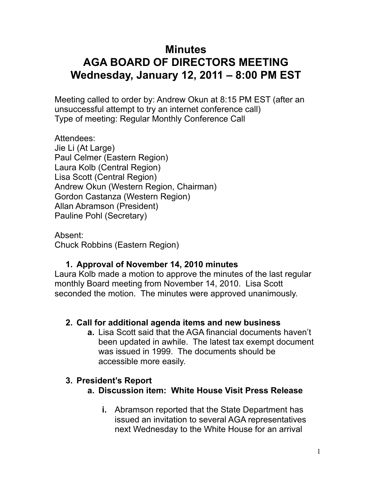# **Minutes AGA BOARD OF DIRECTORS MEETING Wednesday, January 12, 2011 – 8:00 PM EST**

Meeting called to order by: Andrew Okun at 8:15 PM EST (after an unsuccessful attempt to try an internet conference call) Type of meeting: Regular Monthly Conference Call

Attendees: Jie Li (At Large) Paul Celmer (Eastern Region) Laura Kolb (Central Region) Lisa Scott (Central Region) Andrew Okun (Western Region, Chairman) Gordon Castanza (Western Region) Allan Abramson (President) Pauline Pohl (Secretary)

Absent: Chuck Robbins (Eastern Region)

# **1. Approval of November 14, 2010 minutes**

Laura Kolb made a motion to approve the minutes of the last regular monthly Board meeting from November 14, 2010. Lisa Scott seconded the motion. The minutes were approved unanimously.

### **2. Call for additional agenda items and new business**

**a.** Lisa Scott said that the AGA financial documents haven't been updated in awhile. The latest tax exempt document was issued in 1999. The documents should be accessible more easily.

# **3. President's Report**

- **a. Discussion item: White House Visit Press Release**
	- **i.** Abramson reported that the State Department has issued an invitation to several AGA representatives next Wednesday to the White House for an arrival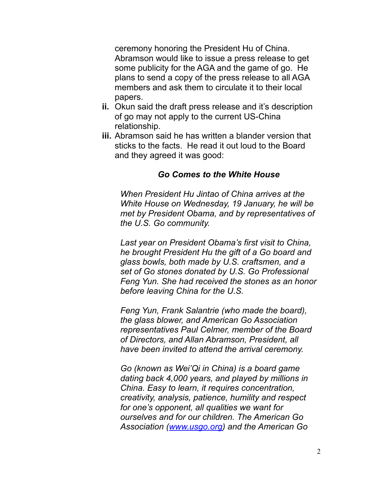ceremony honoring the President Hu of China. Abramson would like to issue a press release to get some publicity for the AGA and the game of go. He plans to send a copy of the press release to all AGA members and ask them to circulate it to their local papers.

- **ii.** Okun said the draft press release and it's description of go may not apply to the current US-China relationship.
- **iii.** Abramson said he has written a blander version that sticks to the facts. He read it out loud to the Board and they agreed it was good:

#### *Go Comes to the White House*

*When President Hu Jintao of China arrives at the White House on Wednesday, 19 January, he will be met by President Obama, and by representatives of the U.S. Go community.* 

*Last year on President Obama's first visit to China, he brought President Hu the gift of a Go board and glass bowls, both made by U.S. craftsmen, and a set of Go stones donated by U.S. Go Professional Feng Yun. She had received the stones as an honor before leaving China for the U.S.*

*Feng Yun, Frank Salantrie (who made the board), the glass blower, and American Go Association representatives Paul Celmer, member of the Board of Directors, and Allan Abramson, President, all have been invited to attend the arrival ceremony.*

*Go (known as Wei'Qi in China) is a board game dating back 4,000 years, and played by millions in China. Easy to learn, it requires concentration, creativity, analysis, patience, humility and respect for one's opponent, all qualities we want for ourselves and for our children. The American Go Association [\(www.usgo.org](http://www.usgo.org)) and the American Go*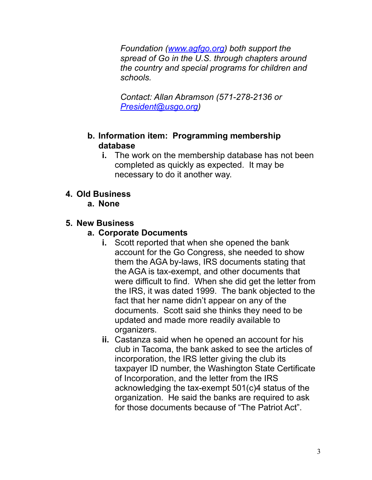*Foundation ([www.agfgo.org](http://www.agfgo.org)) both support the spread of Go in the U.S. through chapters around the country and special programs for children and schools.*

*Contact: Allan Abramson (571-278-2136 or [President@usgo.org\)](mailto:President@usgo.org)*

#### **b. Information item: Programming membership database**

**i.** The work on the membership database has not been completed as quickly as expected. It may be necessary to do it another way.

### **4. Old Business**

#### **a. None**

#### **5. New Business**

### **a. Corporate Documents**

- **i.** Scott reported that when she opened the bank account for the Go Congress, she needed to show them the AGA by-laws, IRS documents stating that the AGA is tax-exempt, and other documents that were difficult to find. When she did get the letter from the IRS, it was dated 1999. The bank objected to the fact that her name didn't appear on any of the documents. Scott said she thinks they need to be updated and made more readily available to organizers.
- **ii.** Castanza said when he opened an account for his club in Tacoma, the bank asked to see the articles of incorporation, the IRS letter giving the club its taxpayer ID number, the Washington State Certificate of Incorporation, and the letter from the IRS acknowledging the tax-exempt 501(c)4 status of the organization. He said the banks are required to ask for those documents because of "The Patriot Act".